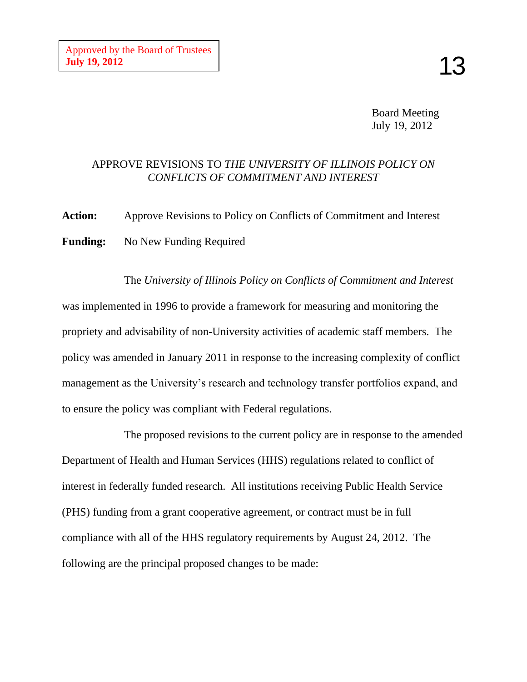Board Meeting July 19, 2012

# APPROVE REVISIONS TO *THE UNIVERSITY OF ILLINOIS POLICY ON CONFLICTS OF COMMITMENT AND INTEREST*

**Action:** Approve Revisions to Policy on Conflicts of Commitment and Interest **Funding:** No New Funding Required

The *University of Illinois Policy on Conflicts of Commitment and Interest* was implemented in 1996 to provide a framework for measuring and monitoring the propriety and advisability of non-University activities of academic staff members. The policy was amended in January 2011 in response to the increasing complexity of conflict management as the University's research and technology transfer portfolios expand, and to ensure the policy was compliant with Federal regulations.

The proposed revisions to the current policy are in response to the amended Department of Health and Human Services (HHS) regulations related to conflict of interest in federally funded research. All institutions receiving Public Health Service (PHS) funding from a grant cooperative agreement, or contract must be in full compliance with all of the HHS regulatory requirements by August 24, 2012. The following are the principal proposed changes to be made: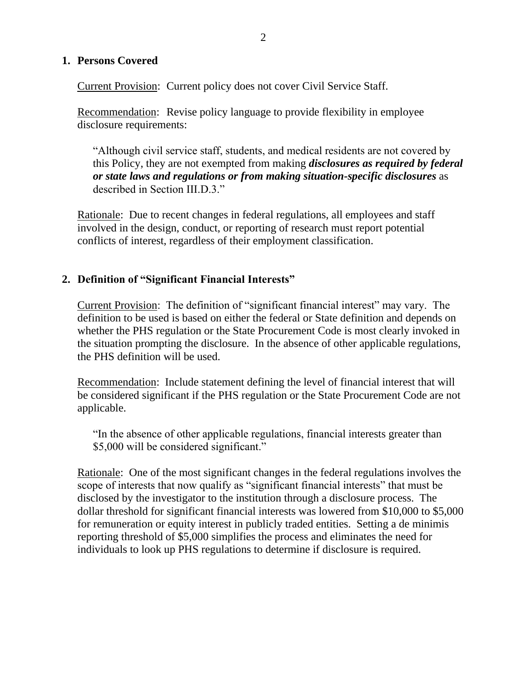### **1. Persons Covered**

Current Provision: Current policy does not cover Civil Service Staff.

Recommendation: Revise policy language to provide flexibility in employee disclosure requirements:

"Although civil service staff, students, and medical residents are not covered by this Policy, they are not exempted from making *disclosures as required by federal or state laws and regulations or from making situation-specific disclosures* as described in Section III.D.3."

Rationale: Due to recent changes in federal regulations, all employees and staff involved in the design, conduct, or reporting of research must report potential conflicts of interest, regardless of their employment classification.

# **2. Definition of "Significant Financial Interests"**

Current Provision: The definition of "significant financial interest" may vary. The definition to be used is based on either the federal or State definition and depends on whether the PHS regulation or the State Procurement Code is most clearly invoked in the situation prompting the disclosure. In the absence of other applicable regulations, the PHS definition will be used.

Recommendation: Include statement defining the level of financial interest that will be considered significant if the PHS regulation or the State Procurement Code are not applicable.

"In the absence of other applicable regulations, financial interests greater than \$5,000 will be considered significant."

Rationale: One of the most significant changes in the federal regulations involves the scope of interests that now qualify as "significant financial interests" that must be disclosed by the investigator to the institution through a disclosure process. The dollar threshold for significant financial interests was lowered from \$10,000 to \$5,000 for remuneration or equity interest in publicly traded entities. Setting a de minimis reporting threshold of \$5,000 simplifies the process and eliminates the need for individuals to look up PHS regulations to determine if disclosure is required.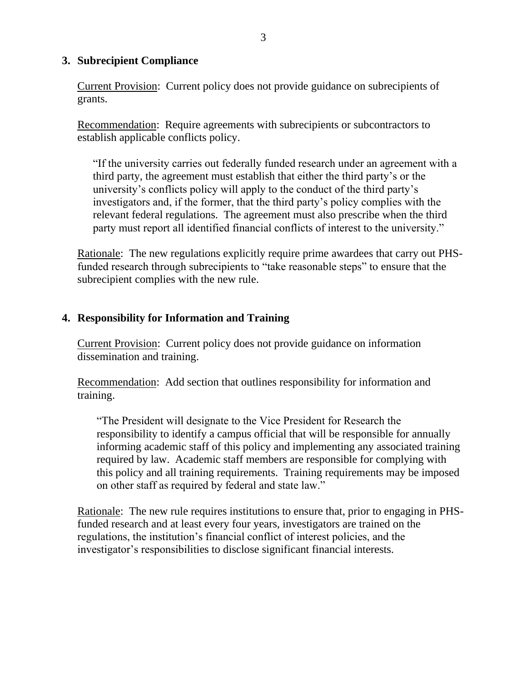### **3. Subrecipient Compliance**

Current Provision: Current policy does not provide guidance on subrecipients of grants.

Recommendation: Require agreements with subrecipients or subcontractors to establish applicable conflicts policy.

"If the university carries out federally funded research under an agreement with a third party, the agreement must establish that either the third party's or the university's conflicts policy will apply to the conduct of the third party's investigators and, if the former, that the third party's policy complies with the relevant federal regulations. The agreement must also prescribe when the third party must report all identified financial conflicts of interest to the university."

Rationale: The new regulations explicitly require prime awardees that carry out PHSfunded research through subrecipients to "take reasonable steps" to ensure that the subrecipient complies with the new rule.

## **4. Responsibility for Information and Training**

Current Provision: Current policy does not provide guidance on information dissemination and training.

Recommendation: Add section that outlines responsibility for information and training.

"The President will designate to the Vice President for Research the responsibility to identify a campus official that will be responsible for annually informing academic staff of this policy and implementing any associated training required by law. Academic staff members are responsible for complying with this policy and all training requirements. Training requirements may be imposed on other staff as required by federal and state law."

Rationale: The new rule requires institutions to ensure that, prior to engaging in PHSfunded research and at least every four years, investigators are trained on the regulations, the institution's financial conflict of interest policies, and the investigator's responsibilities to disclose significant financial interests.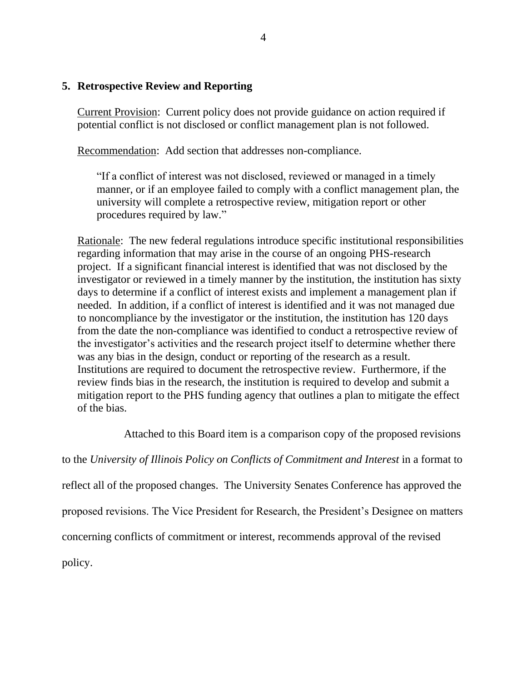#### **5. Retrospective Review and Reporting**

Current Provision: Current policy does not provide guidance on action required if potential conflict is not disclosed or conflict management plan is not followed.

Recommendation: Add section that addresses non-compliance.

"If a conflict of interest was not disclosed, reviewed or managed in a timely manner, or if an employee failed to comply with a conflict management plan, the university will complete a retrospective review, mitigation report or other procedures required by law."

Rationale: The new federal regulations introduce specific institutional responsibilities regarding information that may arise in the course of an ongoing PHS-research project. If a significant financial interest is identified that was not disclosed by the investigator or reviewed in a timely manner by the institution, the institution has sixty days to determine if a conflict of interest exists and implement a management plan if needed. In addition, if a conflict of interest is identified and it was not managed due to noncompliance by the investigator or the institution, the institution has 120 days from the date the non-compliance was identified to conduct a retrospective review of the investigator's activities and the research project itself to determine whether there was any bias in the design, conduct or reporting of the research as a result. Institutions are required to document the retrospective review. Furthermore, if the review finds bias in the research, the institution is required to develop and submit a mitigation report to the PHS funding agency that outlines a plan to mitigate the effect of the bias.

Attached to this Board item is a comparison copy of the proposed revisions

to the *University of Illinois Policy on Conflicts of Commitment and Interest* in a format to reflect all of the proposed changes. The University Senates Conference has approved the proposed revisions. The Vice President for Research, the President's Designee on matters concerning conflicts of commitment or interest, recommends approval of the revised policy.